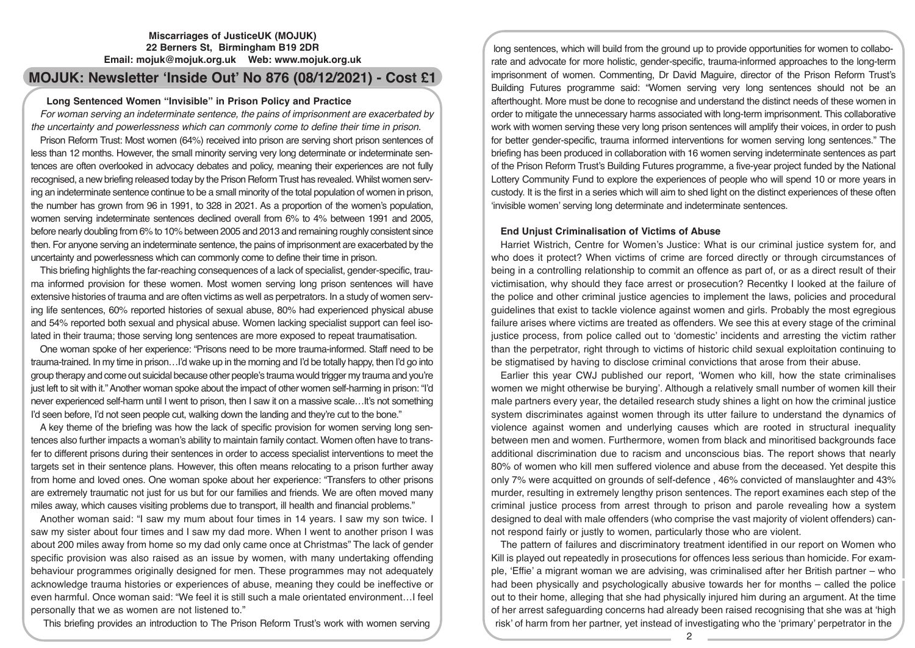# **Miscarriages of JusticeUK (MOJUK) 22 Berners St, Birmingham B19 2DR Email: mojuk@mojuk.org.uk Web: www.mojuk.org.uk**

# **MOJUK: Newsletter 'Inside Out' No 876 (08/12/2021) - Cost £1**

# **Long Sentenced Women "Invisible" in Prison Policy and Practice**

*For woman serving an indeterminate sentence, the pains of imprisonment are exacerbated by the uncertainty and powerlessness which can commonly come to define their time in prison.* 

Prison Reform Trust: Most women (64%) received into prison are serving short prison sentences of less than 12 months. However, the small minority serving very long determinate or indeterminate sentences are often overlooked in advocacy debates and policy, meaning their experiences are not fully recognised, a new briefing released today by the Prison Reform Trust has revealed. Whilst women serving an indeterminate sentence continue to be a small minority of the total population of women in prison, the number has grown from 96 in 1991, to 328 in 2021. As a proportion of the women's population, women serving indeterminate sentences declined overall from 6% to 4% between 1991 and 2005, before nearly doubling from 6% to 10% between 2005 and 2013 and remaining roughly consistent since then. For anyone serving an indeterminate sentence, the pains of imprisonment are exacerbated by the uncertainty and powerlessness which can commonly come to define their time in prison.

This briefing highlights the far-reaching consequences of a lack of specialist, gender-specific, trauma informed provision for these women. Most women serving long prison sentences will have extensive histories of trauma and are often victims as well as perpetrators. In a study of women serving life sentences, 60% reported histories of sexual abuse, 80% had experienced physical abuse and 54% reported both sexual and physical abuse. Women lacking specialist support can feel isolated in their trauma; those serving long sentences are more exposed to repeat traumatisation.

One woman spoke of her experience: "Prisons need to be more trauma-informed. Staff need to be trauma-trained. In my time in prison…I'd wake up in the morning and I'd be totally happy, then I'd go into group therapy and come out suicidal because other people's trauma would trigger my trauma and you're just left to sit with it." Another woman spoke about the impact of other women self-harming in prison: "I'd never experienced self-harm until I went to prison, then I saw it on a massive scale…It's not something I'd seen before, I'd not seen people cut, walking down the landing and they're cut to the bone."

A key theme of the briefing was how the lack of specific provision for women serving long sentences also further impacts a woman's ability to maintain family contact. Women often have to transfer to different prisons during their sentences in order to access specialist interventions to meet the targets set in their sentence plans. However, this often means relocating to a prison further away from home and loved ones. One woman spoke about her experience: "Transfers to other prisons are extremely traumatic not just for us but for our families and friends. We are often moved many miles away, which causes visiting problems due to transport, ill health and financial problems."

Another woman said: "I saw my mum about four times in 14 years. I saw my son twice. I saw my sister about four times and I saw my dad more. When I went to another prison I was about 200 miles away from home so my dad only came once at Christmas" The lack of gender specific provision was also raised as an issue by women, with many undertaking offending behaviour programmes originally designed for men. These programmes may not adequately acknowledge trauma histories or experiences of abuse, meaning they could be ineffective or even harmful. Once woman said: "We feel it is still such a male orientated environment…I feel personally that we as women are not listened to."

This briefing provides an introduction to The Prison Reform Trust's work with women serving

long sentences, which will build from the ground up to provide opportunities for women to collaborate and advocate for more holistic, gender-specific, trauma-informed approaches to the long-term imprisonment of women. Commenting, Dr David Maguire, director of the Prison Reform Trust's Building Futures programme said: "Women serving very long sentences should not be an afterthought. More must be done to recognise and understand the distinct needs of these women in order to mitigate the unnecessary harms associated with long-term imprisonment. This collaborative work with women serving these very long prison sentences will amplify their voices, in order to push for better gender-specific, trauma informed interventions for women serving long sentences." The briefing has been produced in collaboration with 16 women serving indeterminate sentences as part of the Prison Reform Trust's Building Futures programme, a five-year project funded by the National Lottery Community Fund to explore the experiences of people who will spend 10 or more years in custody. It is the first in a series which will aim to shed light on the distinct experiences of these often 'invisible women' serving long determinate and indeterminate sentences.

# **End Unjust Criminalisation of Victims of Abuse**

Harriet Wistrich, Centre for Women's Justice: What is our criminal justice system for, and who does it protect? When victims of crime are forced directly or through circumstances of being in a controlling relationship to commit an offence as part of, or as a direct result of their victimisation, why should they face arrest or prosecution? Recentky I looked at the failure of the police and other criminal justice agencies to implement the laws, policies and procedural guidelines that exist to tackle violence against women and girls. Probably the most egregious failure arises where victims are treated as offenders. We see this at every stage of the criminal justice process, from police called out to 'domestic' incidents and arresting the victim rather than the perpetrator, right through to victims of historic child sexual exploitation continuing to be stigmatised by having to disclose criminal convictions that arose from their abuse.

Earlier this year CWJ published our report, 'Women who kill, how the state criminalises women we might otherwise be burying'. Although a relatively small number of women kill their male partners every year, the detailed research study shines a light on how the criminal justice system discriminates against women through its utter failure to understand the dynamics of violence against women and underlying causes which are rooted in structural inequality between men and women. Furthermore, women from black and minoritised backgrounds face additional discrimination due to racism and unconscious bias. The report shows that nearly 80% of women who kill men suffered violence and abuse from the deceased. Yet despite this only 7% were acquitted on grounds of self-defence , 46% convicted of manslaughter and 43% murder, resulting in extremely lengthy prison sentences. The report examines each step of the criminal justice process from arrest through to prison and parole revealing how a system designed to deal with male offenders (who comprise the vast majority of violent offenders) cannot respond fairly or justly to women, particularly those who are violent.

The pattern of failures and discriminatory treatment identified in our report on Women who Kill is played out repeatedly in prosecutions for offences less serious than homicide. For example, 'Effie' a migrant woman we are advising, was criminalised after her British partner – who had been physically and psychologically abusive towards her for months – called the police out to their home, alleging that she had physically injured him during an argument. At the time of her arrest safeguarding concerns had already been raised recognising that she was at 'high risk' of harm from her partner, yet instead of investigating who the 'primary' perpetrator in the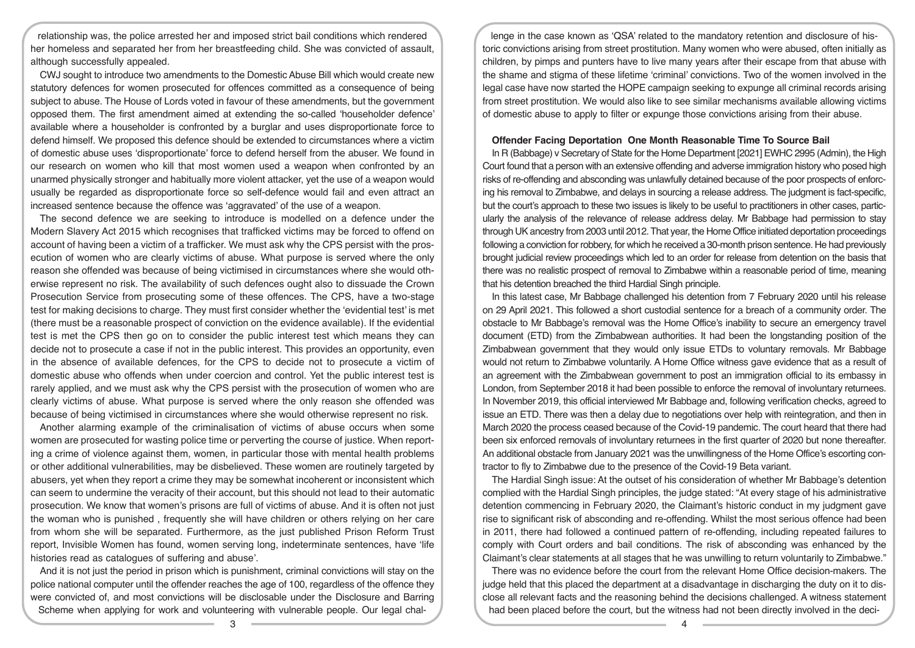relationship was, the police arrested her and imposed strict bail conditions which rendered her homeless and separated her from her breastfeeding child. She was convicted of assault, although successfully appealed.

CWJ sought to introduce two amendments to the Domestic Abuse Bill which would create new statutory defences for women prosecuted for offences committed as a consequence of being subject to abuse. The House of Lords voted in favour of these amendments, but the government opposed them. The first amendment aimed at extending the so-called 'householder defence' available where a householder is confronted by a burglar and uses disproportionate force to defend himself. We proposed this defence should be extended to circumstances where a victim of domestic abuse uses 'disproportionate' force to defend herself from the abuser. We found in our research on women who kill that most women used a weapon when confronted by an unarmed physically stronger and habitually more violent attacker, yet the use of a weapon would usually be regarded as disproportionate force so self-defence would fail and even attract an increased sentence because the offence was 'aggravated' of the use of a weapon.

The second defence we are seeking to introduce is modelled on a defence under the Modern Slavery Act 2015 which recognises that trafficked victims may be forced to offend on account of having been a victim of a trafficker. We must ask why the CPS persist with the prosecution of women who are clearly victims of abuse. What purpose is served where the only reason she offended was because of being victimised in circumstances where she would otherwise represent no risk. The availability of such defences ought also to dissuade the Crown Prosecution Service from prosecuting some of these offences. The CPS, have a two-stage test for making decisions to charge. They must first consider whether the 'evidential test' is met (there must be a reasonable prospect of conviction on the evidence available). If the evidential test is met the CPS then go on to consider the public interest test which means they can decide not to prosecute a case if not in the public interest. This provides an opportunity, even in the absence of available defences, for the CPS to decide not to prosecute a victim of domestic abuse who offends when under coercion and control. Yet the public interest test is rarely applied, and we must ask why the CPS persist with the prosecution of women who are clearly victims of abuse. What purpose is served where the only reason she offended was because of being victimised in circumstances where she would otherwise represent no risk.

Another alarming example of the criminalisation of victims of abuse occurs when some women are prosecuted for wasting police time or perverting the course of justice. When reporting a crime of violence against them, women, in particular those with mental health problems or other additional vulnerabilities, may be disbelieved. These women are routinely targeted by abusers, yet when they report a crime they may be somewhat incoherent or inconsistent which can seem to undermine the veracity of their account, but this should not lead to their automatic prosecution. We know that women's prisons are full of victims of abuse. And it is often not just the woman who is punished , frequently she will have children or others relying on her care from whom she will be separated. Furthermore, as the just published Prison Reform Trust report, Invisible Women has found, women serving long, indeterminate sentences, have 'life histories read as catalogues of suffering and abuse'.

And it is not just the period in prison which is punishment, criminal convictions will stay on the police national computer until the offender reaches the age of 100, regardless of the offence they were convicted of, and most convictions will be disclosable under the Disclosure and Barring Scheme when applying for work and volunteering with vulnerable people. Our legal chal-

lenge in the case known as 'QSA' related to the mandatory retention and disclosure of historic convictions arising from street prostitution. Many women who were abused, often initially as children, by pimps and punters have to live many years after their escape from that abuse with the shame and stigma of these lifetime 'criminal' convictions. Two of the women involved in the legal case have now started the HOPE campaign seeking to expunge all criminal records arising from street prostitution. We would also like to see similar mechanisms available allowing victims of domestic abuse to apply to filter or expunge those convictions arising from their abuse.

# **Offender Facing Deportation One Month Reasonable Time To Source Bail**

In R (Babbage) v Secretary of State for the Home Department [2021] EWHC 2995 (Admin), the High Court found that a person with an extensive offending and adverse immigration history who posed high risks of re-offending and absconding was unlawfully detained because of the poor prospects of enforcing his removal to Zimbabwe, and delays in sourcing a release address. The judgment is fact-specific, but the court's approach to these two issues is likely to be useful to practitioners in other cases, particularly the analysis of the relevance of release address delay. Mr Babbage had permission to stay through UK ancestry from 2003 until 2012. That year, the Home Office initiated deportation proceedings following a conviction for robbery, for which he received a 30-month prison sentence. He had previously brought judicial review proceedings which led to an order for release from detention on the basis that there was no realistic prospect of removal to Zimbabwe within a reasonable period of time, meaning that his detention breached the third Hardial Singh principle.

In this latest case, Mr Babbage challenged his detention from 7 February 2020 until his release on 29 April 2021. This followed a short custodial sentence for a breach of a community order. The obstacle to Mr Babbage's removal was the Home Office's inability to secure an emergency travel document (ETD) from the Zimbabwean authorities. It had been the longstanding position of the Zimbabwean government that they would only issue ETDs to voluntary removals. Mr Babbage would not return to Zimbabwe voluntarily. A Home Office witness gave evidence that as a result of an agreement with the Zimbabwean government to post an immigration official to its embassy in London, from September 2018 it had been possible to enforce the removal of involuntary returnees. In November 2019, this official interviewed Mr Babbage and, following verification checks, agreed to issue an ETD. There was then a delay due to negotiations over help with reintegration, and then in March 2020 the process ceased because of the Covid-19 pandemic. The court heard that there had been six enforced removals of involuntary returnees in the first quarter of 2020 but none thereafter. An additional obstacle from January 2021 was the unwillingness of the Home Office's escorting contractor to fly to Zimbabwe due to the presence of the Covid-19 Beta variant.

The Hardial Singh issue: At the outset of his consideration of whether Mr Babbage's detention complied with the Hardial Singh principles, the judge stated: "At every stage of his administrative detention commencing in February 2020, the Claimant's historic conduct in my judgment gave rise to significant risk of absconding and re-offending. Whilst the most serious offence had been in 2011, there had followed a continued pattern of re-offending, including repeated failures to comply with Court orders and bail conditions. The risk of absconding was enhanced by the Claimant's clear statements at all stages that he was unwilling to return voluntarily to Zimbabwe."

There was no evidence before the court from the relevant Home Office decision-makers. The judge held that this placed the department at a disadvantage in discharging the duty on it to disclose all relevant facts and the reasoning behind the decisions challenged. A witness statement had been placed before the court, but the witness had not been directly involved in the deci-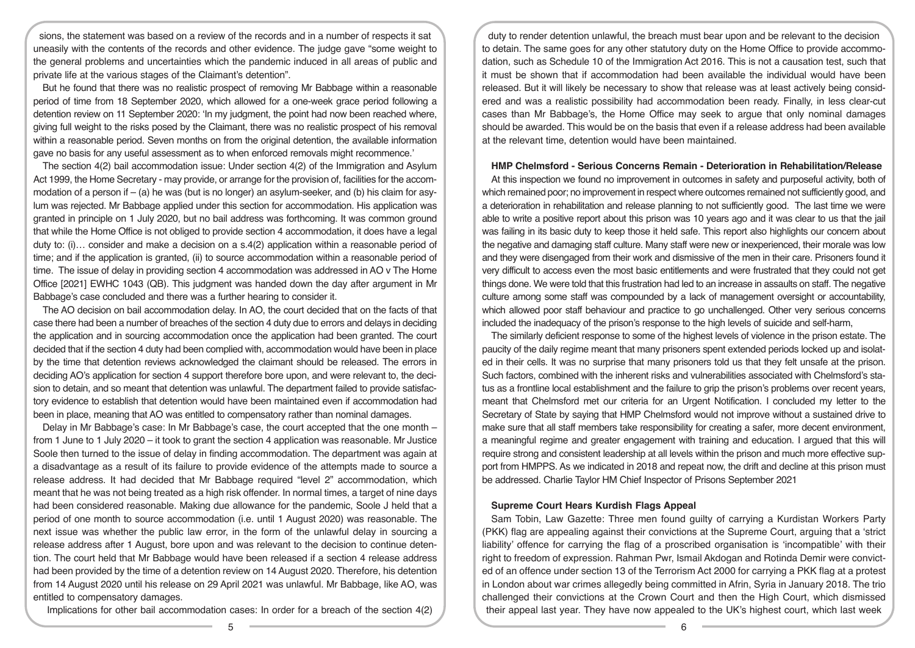sions, the statement was based on a review of the records and in a number of respects it sat uneasily with the contents of the records and other evidence. The judge gave "some weight to the general problems and uncertainties which the pandemic induced in all areas of public and private life at the various stages of the Claimant's detention".

But he found that there was no realistic prospect of removing Mr Babbage within a reasonable period of time from 18 September 2020, which allowed for a one-week grace period following a detention review on 11 September 2020: 'In my judgment, the point had now been reached where, giving full weight to the risks posed by the Claimant, there was no realistic prospect of his removal within a reasonable period. Seven months on from the original detention, the available information gave no basis for any useful assessment as to when enforced removals might recommence.'

The section 4(2) bail accommodation issue: Under section 4(2) of the Immigration and Asylum Act 1999, the Home Secretary - may provide, or arrange for the provision of, facilities for the accommodation of a person if – (a) he was (but is no longer) an asylum-seeker, and (b) his claim for asylum was rejected. Mr Babbage applied under this section for accommodation. His application was granted in principle on 1 July 2020, but no bail address was forthcoming. It was common ground that while the Home Office is not obliged to provide section 4 accommodation, it does have a legal duty to: (i)… consider and make a decision on a s.4(2) application within a reasonable period of time; and if the application is granted, (ii) to source accommodation within a reasonable period of time. The issue of delay in providing section 4 accommodation was addressed in AO v The Home Office [2021] EWHC 1043 (QB). This judgment was handed down the day after argument in Mr Babbage's case concluded and there was a further hearing to consider it.

The AO decision on bail accommodation delay. In AO, the court decided that on the facts of that case there had been a number of breaches of the section 4 duty due to errors and delays in deciding the application and in sourcing accommodation once the application had been granted. The court decided that if the section 4 duty had been complied with, accommodation would have been in place by the time that detention reviews acknowledged the claimant should be released. The errors in deciding AO's application for section 4 support therefore bore upon, and were relevant to, the decision to detain, and so meant that detention was unlawful. The department failed to provide satisfactory evidence to establish that detention would have been maintained even if accommodation had been in place, meaning that AO was entitled to compensatory rather than nominal damages.

Delay in Mr Babbage's case: In Mr Babbage's case, the court accepted that the one month – from 1 June to 1 July 2020 – it took to grant the section 4 application was reasonable. Mr Justice Soole then turned to the issue of delay in finding accommodation. The department was again at a disadvantage as a result of its failure to provide evidence of the attempts made to source a release address. It had decided that Mr Babbage required "level 2" accommodation, which meant that he was not being treated as a high risk offender. In normal times, a target of nine days had been considered reasonable. Making due allowance for the pandemic, Soole J held that a period of one month to source accommodation (i.e. until 1 August 2020) was reasonable. The next issue was whether the public law error, in the form of the unlawful delay in sourcing a release address after 1 August, bore upon and was relevant to the decision to continue detention. The court held that Mr Babbage would have been released if a section 4 release address had been provided by the time of a detention review on 14 August 2020. Therefore, his detention from 14 August 2020 until his release on 29 April 2021 was unlawful. Mr Babbage, like AO, was entitled to compensatory damages.

Implications for other bail accommodation cases: In order for a breach of the section 4(2)

duty to render detention unlawful, the breach must bear upon and be relevant to the decision to detain. The same goes for any other statutory duty on the Home Office to provide accommodation, such as Schedule 10 of the Immigration Act 2016. This is not a causation test, such that it must be shown that if accommodation had been available the individual would have been released. But it will likely be necessary to show that release was at least actively being considered and was a realistic possibility had accommodation been ready. Finally, in less clear-cut cases than Mr Babbage's, the Home Office may seek to argue that only nominal damages should be awarded. This would be on the basis that even if a release address had been available at the relevant time, detention would have been maintained.

# **HMP Chelmsford - Serious Concerns Remain - Deterioration in Rehabilitation/Release**

At this inspection we found no improvement in outcomes in safety and purposeful activity, both of which remained poor; no improvement in respect where outcomes remained not sufficiently good, and a deterioration in rehabilitation and release planning to not sufficiently good. The last time we were able to write a positive report about this prison was 10 years ago and it was clear to us that the jail was failing in its basic duty to keep those it held safe. This report also highlights our concern about the negative and damaging staff culture. Many staff were new or inexperienced, their morale was low and they were disengaged from their work and dismissive of the men in their care. Prisoners found it very difficult to access even the most basic entitlements and were frustrated that they could not get things done. We were told that this frustration had led to an increase in assaults on staff. The negative culture among some staff was compounded by a lack of management oversight or accountability, which allowed poor staff behaviour and practice to go unchallenged. Other very serious concerns included the inadequacy of the prison's response to the high levels of suicide and self-harm,

The similarly deficient response to some of the highest levels of violence in the prison estate. The paucity of the daily regime meant that many prisoners spent extended periods locked up and isolated in their cells. It was no surprise that many prisoners told us that they felt unsafe at the prison. Such factors, combined with the inherent risks and vulnerabilities associated with Chelmsford's status as a frontline local establishment and the failure to grip the prison's problems over recent years, meant that Chelmsford met our criteria for an Urgent Notification. I concluded my letter to the Secretary of State by saying that HMP Chelmsford would not improve without a sustained drive to make sure that all staff members take responsibility for creating a safer, more decent environment, a meaningful regime and greater engagement with training and education. I argued that this will require strong and consistent leadership at all levels within the prison and much more effective support from HMPPS. As we indicated in 2018 and repeat now, the drift and decline at this prison must be addressed. Charlie Taylor HM Chief Inspector of Prisons September 2021

# **Supreme Court Hears Kurdish Flags Appeal**

Sam Tobin, Law Gazette: Three men found guilty of carrying a Kurdistan Workers Party (PKK) flag are appealing against their convictions at the Supreme Court, arguing that a 'strict liability' offence for carrying the flag of a proscribed organisation is 'incompatible' with their right to freedom of expression. Rahman Pwr, Ismail Akdogan and Rotinda Demir were convicted of an offence under section 13 of the Terrorism Act 2000 for carrying a PKK flag at a protest in London about war crimes allegedly being committed in Afrin, Syria in January 2018. The trio challenged their convictions at the Crown Court and then the High Court, which dismissed their appeal last year. They have now appealed to the UK's highest court, which last week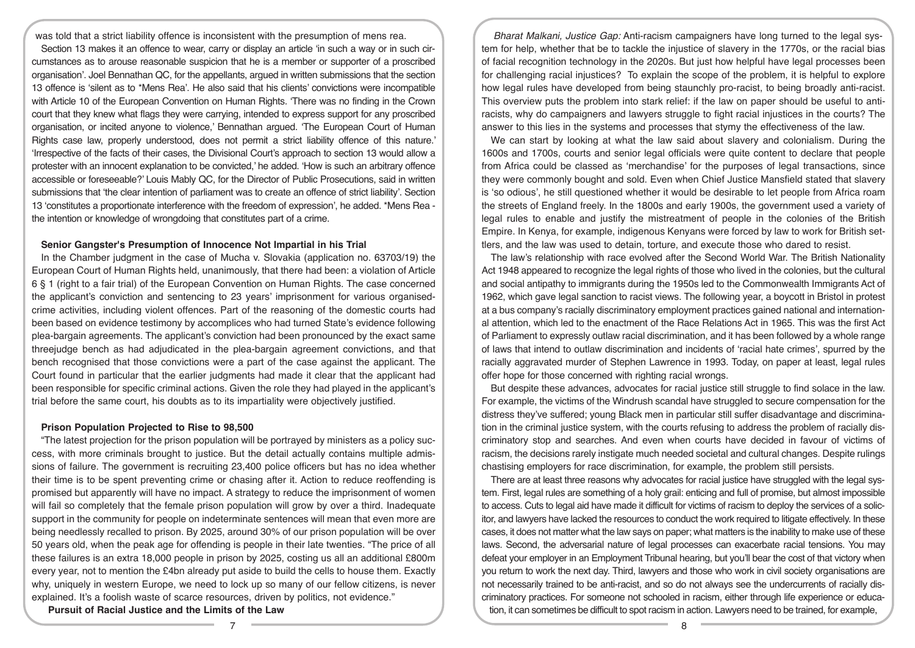was told that a strict liability offence is inconsistent with the presumption of mens rea. Section 13 makes it an offence to wear, carry or display an article 'in such a way or in such circumstances as to arouse reasonable suspicion that he is a member or supporter of a proscribed organisation'. Joel Bennathan QC, for the appellants, argued in written submissions that the section 13 offence is 'silent as to \*Mens Rea'. He also said that his clients' convictions were incompatible with Article 10 of the European Convention on Human Rights. 'There was no finding in the Crown court that they knew what flags they were carrying, intended to express support for any proscribed organisation, or incited anyone to violence,' Bennathan argued. 'The European Court of Human Rights case law, properly understood, does not permit a strict liability offence of this nature.' 'Irrespective of the facts of their cases, the Divisional Court's approach to section 13 would allow a protester with an innocent explanation to be convicted,' he added. 'How is such an arbitrary offence accessible or foreseeable?' Louis Mably QC, for the Director of Public Prosecutions, said in written submissions that 'the clear intention of parliament was to create an offence of strict liability'. Section 13 'constitutes a proportionate interference with the freedom of expression', he added. \*Mens Rea the intention or knowledge of wrongdoing that constitutes part of a crime.

# **Senior Gangster's Presumption of Innocence Not Impartial in his Trial**

In the Chamber judgment in the case of Mucha v. Slovakia (application no. 63703/19) the European Court of Human Rights held, unanimously, that there had been: a violation of Article 6 § 1 (right to a fair trial) of the European Convention on Human Rights. The case concerned the applicant's conviction and sentencing to 23 years' imprisonment for various organisedcrime activities, including violent offences. Part of the reasoning of the domestic courts had been based on evidence testimony by accomplices who had turned State's evidence following plea-bargain agreements. The applicant's conviction had been pronounced by the exact same threejudge bench as had adjudicated in the plea-bargain agreement convictions, and that bench recognised that those convictions were a part of the case against the applicant. The Court found in particular that the earlier judgments had made it clear that the applicant had been responsible for specific criminal actions. Given the role they had played in the applicant's trial before the same court, his doubts as to its impartiality were objectively justified.

#### **Prison Population Projected to Rise to 98,500**

"The latest projection for the prison population will be portrayed by ministers as a policy success, with more criminals brought to justice. But the detail actually contains multiple admissions of failure. The government is recruiting 23,400 police officers but has no idea whether their time is to be spent preventing crime or chasing after it. Action to reduce reoffending is promised but apparently will have no impact. A strategy to reduce the imprisonment of women will fail so completely that the female prison population will grow by over a third. Inadequate support in the community for people on indeterminate sentences will mean that even more are being needlessly recalled to prison. By 2025, around 30% of our prison population will be over 50 years old, when the peak age for offending is people in their late twenties. "The price of all these failures is an extra 18,000 people in prison by 2025, costing us all an additional £800m every year, not to mention the £4bn already put aside to build the cells to house them. Exactly why, uniquely in western Europe, we need to lock up so many of our fellow citizens, is never explained. It's a foolish waste of scarce resources, driven by politics, not evidence."

**Pursuit of Racial Justice and the Limits of the Law** 

*Bharat Malkani, Justice Gap:* Anti-racism campaigners have long turned to the legal system for help, whether that be to tackle the injustice of slavery in the 1770s, or the racial bias of facial recognition technology in the 2020s. But just how helpful have legal processes been for challenging racial injustices? To explain the scope of the problem, it is helpful to explore how legal rules have developed from being staunchly pro-racist, to being broadly anti-racist. This overview puts the problem into stark relief: if the law on paper should be useful to antiracists, why do campaigners and lawyers struggle to fight racial injustices in the courts? The answer to this lies in the systems and processes that stymy the effectiveness of the law.

We can start by looking at what the law said about slavery and colonialism. During the 1600s and 1700s, courts and senior legal officials were quite content to declare that people from Africa could be classed as 'merchandise' for the purposes of legal transactions, since they were commonly bought and sold. Even when Chief Justice Mansfield stated that slavery is 'so odious', he still questioned whether it would be desirable to let people from Africa roam the streets of England freely. In the 1800s and early 1900s, the government used a variety of legal rules to enable and justify the mistreatment of people in the colonies of the British Empire. In Kenya, for example, indigenous Kenyans were forced by law to work for British settlers, and the law was used to detain, torture, and execute those who dared to resist.

The law's relationship with race evolved after the Second World War. The British Nationality Act 1948 appeared to recognize the legal rights of those who lived in the colonies, but the cultural and social antipathy to immigrants during the 1950s led to the Commonwealth Immigrants Act of 1962, which gave legal sanction to racist views. The following year, a boycott in Bristol in protest at a bus company's racially discriminatory employment practices gained national and international attention, which led to the enactment of the Race Relations Act in 1965. This was the first Act of Parliament to expressly outlaw racial discrimination, and it has been followed by a whole range of laws that intend to outlaw discrimination and incidents of 'racial hate crimes', spurred by the racially aggravated murder of Stephen Lawrence in 1993. Today, on paper at least, legal rules offer hope for those concerned with righting racial wrongs.

But despite these advances, advocates for racial justice still struggle to find solace in the law. For example, the victims of the Windrush scandal have struggled to secure compensation for the distress they've suffered; young Black men in particular still suffer disadvantage and discrimination in the criminal justice system, with the courts refusing to address the problem of racially discriminatory stop and searches. And even when courts have decided in favour of victims of racism, the decisions rarely instigate much needed societal and cultural changes. Despite rulings chastising employers for race discrimination, for example, the problem still persists.

There are at least three reasons why advocates for racial justice have struggled with the legal system. First, legal rules are something of a holy grail: enticing and full of promise, but almost impossible to access. Cuts to legal aid have made it difficult for victims of racism to deploy the services of a solicitor, and lawyers have lacked the resources to conduct the work required to litigate effectively. In these cases, it does not matter what the law says on paper; what matters is the inability to make use of these laws. Second, the adversarial nature of legal processes can exacerbate racial tensions. You may defeat your employer in an Employment Tribunal hearing, but you'll bear the cost of that victory when you return to work the next day. Third, lawyers and those who work in civil society organisations are not necessarily trained to be anti-racist, and so do not always see the undercurrents of racially discriminatory practices. For someone not schooled in racism, either through life experience or education, it can sometimes be difficult to spot racism in action. Lawyers need to be trained, for example,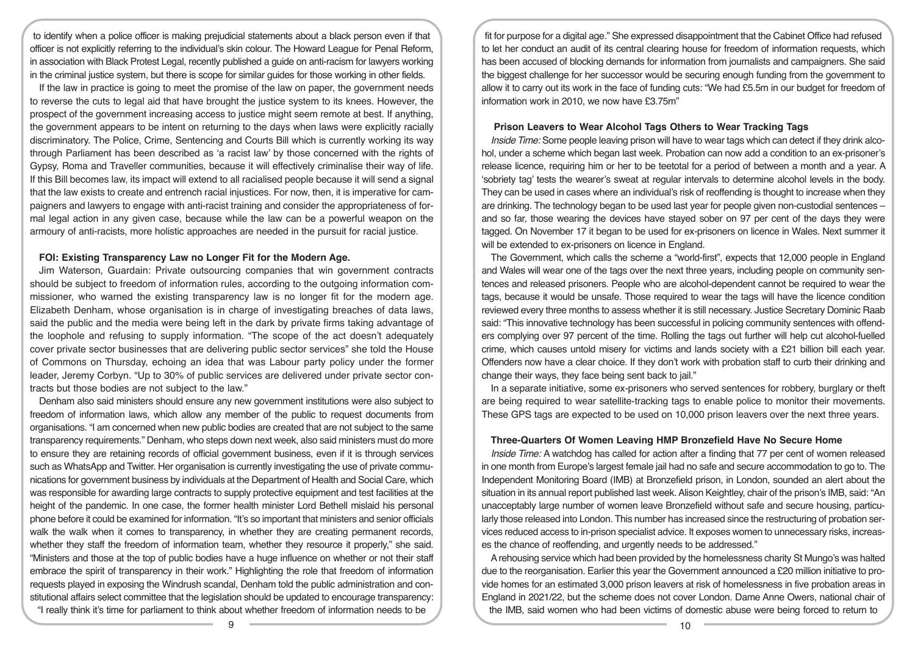to identify when a police officer is making prejudicial statements about a black person even if that officer is not explicitly referring to the individual's skin colour. The Howard League for Penal Reform, in association with Black Protest Legal, recently published a guide on anti-racism for lawyers working in the criminal justice system, but there is scope for similar guides for those working in other fields.

If the law in practice is going to meet the promise of the law on paper, the government needs to reverse the cuts to legal aid that have brought the justice system to its knees. However, the prospect of the government increasing access to justice might seem remote at best. If anything, the government appears to be intent on returning to the days when laws were explicitly racially discriminatory. The Police, Crime, Sentencing and Courts Bill which is currently working its way through Parliament has been described as 'a racist law' by those concerned with the rights of Gypsy, Roma and Traveller communities, because it will effectively criminalise their way of life. If this Bill becomes law, its impact will extend to all racialised people because it will send a signal that the law exists to create and entrench racial injustices. For now, then, it is imperative for campaigners and lawyers to engage with anti-racist training and consider the appropriateness of formal legal action in any given case, because while the law can be a powerful weapon on the armoury of anti-racists, more holistic approaches are needed in the pursuit for racial justice.

# **FOI: Existing Transparency Law no Longer Fit for the Modern Age.**

Jim Waterson, Guardain: Private outsourcing companies that win government contracts should be subject to freedom of information rules, according to the outgoing information commissioner, who warned the existing transparency law is no longer fit for the modern age. Elizabeth Denham, whose organisation is in charge of investigating breaches of data laws, said the public and the media were being left in the dark by private firms taking advantage of the loophole and refusing to supply information. "The scope of the act doesn't adequately cover private sector businesses that are delivering public sector services" she told the House of Commons on Thursday, echoing an idea that was Labour party policy under the former leader, Jeremy Corbyn. "Up to 30% of public services are delivered under private sector contracts but those bodies are not subject to the law."

Denham also said ministers should ensure any new government institutions were also subject to freedom of information laws, which allow any member of the public to request documents from organisations. "I am concerned when new public bodies are created that are not subject to the same transparency requirements." Denham, who steps down next week, also said ministers must do more to ensure they are retaining records of official government business, even if it is through services such as WhatsApp and Twitter. Her organisation is currently investigating the use of private communications for government business by individuals at the Department of Health and Social Care, which was responsible for awarding large contracts to supply protective equipment and test facilities at the height of the pandemic. In one case, the former health minister Lord Bethell mislaid his personal phone before it could be examined for information. "It's so important that ministers and senior officials walk the walk when it comes to transparency, in whether they are creating permanent records, whether they staff the freedom of information team, whether they resource it properly," she said. "Ministers and those at the top of public bodies have a huge influence on whether or not their staff embrace the spirit of transparency in their work." Highlighting the role that freedom of information requests played in exposing the Windrush scandal, Denham told the public administration and constitutional affairs select committee that the legislation should be updated to encourage transparency: "I really think it's time for parliament to think about whether freedom of information needs to be

fit for purpose for a digital age." She expressed disappointment that the Cabinet Office had refused to let her conduct an audit of its central clearing house for freedom of information requests, which has been accused of blocking demands for information from journalists and campaigners. She said the biggest challenge for her successor would be securing enough funding from the government to allow it to carry out its work in the face of funding cuts: "We had £5.5m in our budget for freedom of information work in 2010, we now have £3.75m"

## **Prison Leavers to Wear Alcohol Tags Others to Wear Tracking Tags**

*Inside Time:* Some people leaving prison will have to wear tags which can detect if they drink alcohol, under a scheme which began last week. Probation can now add a condition to an ex-prisoner's release licence, requiring him or her to be teetotal for a period of between a month and a year. A 'sobriety tag' tests the wearer's sweat at regular intervals to determine alcohol levels in the body. They can be used in cases where an individual's risk of reoffending is thought to increase when they are drinking. The technology began to be used last year for people given non-custodial sentences – and so far, those wearing the devices have stayed sober on 97 per cent of the days they were tagged. On November 17 it began to be used for ex-prisoners on licence in Wales. Next summer it will be extended to ex-prisoners on licence in England.

The Government, which calls the scheme a "world-first", expects that 12,000 people in England and Wales will wear one of the tags over the next three years, including people on community sentences and released prisoners. People who are alcohol-dependent cannot be required to wear the tags, because it would be unsafe. Those required to wear the tags will have the licence condition reviewed every three months to assess whether it is still necessary. Justice Secretary Dominic Raab said: "This innovative technology has been successful in policing community sentences with offenders complying over 97 percent of the time. Rolling the tags out further will help cut alcohol-fuelled crime, which causes untold misery for victims and lands society with a £21 billion bill each year. Offenders now have a clear choice. If they don't work with probation staff to curb their drinking and change their ways, they face being sent back to jail."

In a separate initiative, some ex-prisoners who served sentences for robbery, burglary or theft are being required to wear satellite-tracking tags to enable police to monitor their movements. These GPS tags are expected to be used on 10,000 prison leavers over the next three years.

#### **Three-Quarters Of Women Leaving HMP Bronzefield Have No Secure Home**

*Inside Time:* A watchdog has called for action after a finding that 77 per cent of women released in one month from Europe's largest female jail had no safe and secure accommodation to go to. The Independent Monitoring Board (IMB) at Bronzefield prison, in London, sounded an alert about the situation in its annual report published last week. Alison Keightley, chair of the prison's IMB, said: "An unacceptably large number of women leave Bronzefield without safe and secure housing, particularly those released into London. This number has increased since the restructuring of probation services reduced access to in-prison specialist advice. It exposes women to unnecessary risks, increases the chance of reoffending, and urgently needs to be addressed."

A rehousing service which had been provided by the homelessness charity St Mungo's was halted due to the reorganisation. Earlier this year the Government announced a £20 million initiative to provide homes for an estimated 3,000 prison leavers at risk of homelessness in five probation areas in England in 2021/22, but the scheme does not cover London. Dame Anne Owers, national chair of the IMB, said women who had been victims of domestic abuse were being forced to return to